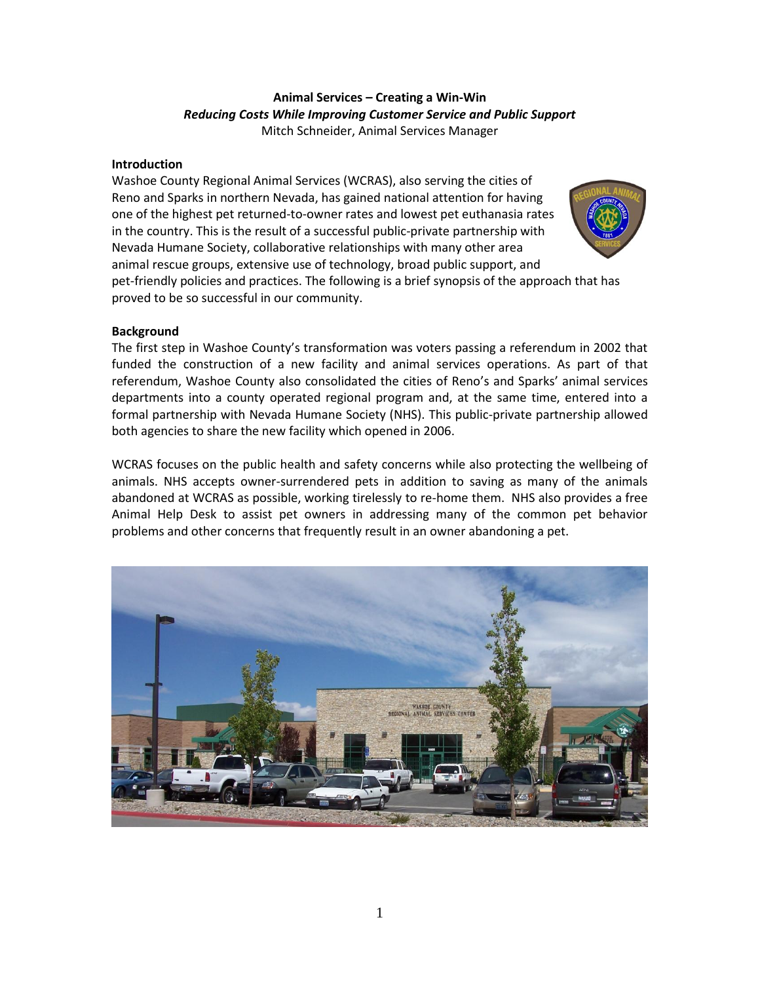# **Animal Services – Creating a Win-Win** *Reducing Costs While Improving Customer Service and Public Support* Mitch Schneider, Animal Services Manager

# **Introduction**

Washoe County Regional Animal Services (WCRAS), also serving the cities of Reno and Sparks in northern Nevada, has gained national attention for having one of the highest pet returned-to-owner rates and lowest pet euthanasia rates in the country. This is the result of a successful public-private partnership with Nevada Humane Society, collaborative relationships with many other area animal rescue groups, extensive use of technology, broad public support, and pet-friendly policies and practices. The following is a brief synopsis of the approach that has proved to be so successful in our community.

# **Background**

The first step in Washoe County's transformation was voters passing a referendum in 2002 that funded the construction of a new facility and animal services operations. As part of that referendum, Washoe County also consolidated the cities of Reno's and Sparks' animal services departments into a county operated regional program and, at the same time, entered into a formal partnership with Nevada Humane Society (NHS). This public-private partnership allowed both agencies to share the new facility which opened in 2006.

WCRAS focuses on the public health and safety concerns while also protecting the wellbeing of animals. NHS accepts owner-surrendered pets in addition to saving as many of the animals abandoned at WCRAS as possible, working tirelessly to re-home them. NHS also provides a free Animal Help Desk to assist pet owners in addressing many of the common pet behavior problems and other concerns that frequently result in an owner abandoning a pet.

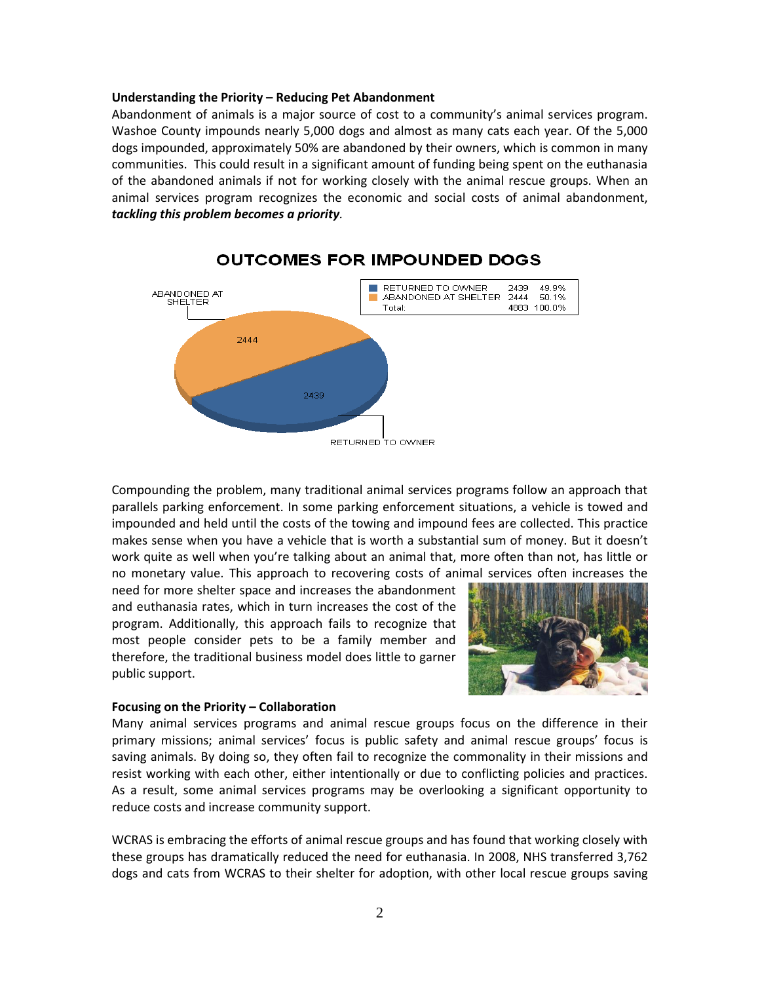### **Understanding the Priority – Reducing Pet Abandonment**

Abandonment of animals is a major source of cost to a community's animal services program. Washoe County impounds nearly 5,000 dogs and almost as many cats each year. Of the 5,000 dogs impounded, approximately 50% are abandoned by their owners, which is common in many communities. This could result in a significant amount of funding being spent on the euthanasia of the abandoned animals if not for working closely with the animal rescue groups. When an animal services program recognizes the economic and social costs of animal abandonment, *tackling this problem becomes a priority.*



# **OUTCOMES FOR IMPOUNDED DOGS**

Compounding the problem, many traditional animal services programs follow an approach that parallels parking enforcement. In some parking enforcement situations, a vehicle is towed and impounded and held until the costs of the towing and impound fees are collected. This practice makes sense when you have a vehicle that is worth a substantial sum of money. But it doesn't work quite as well when you're talking about an animal that, more often than not, has little or no monetary value. This approach to recovering costs of animal services often increases the

need for more shelter space and increases the abandonment and euthanasia rates, which in turn increases the cost of the program. Additionally, this approach fails to recognize that most people consider pets to be a family member and therefore, the traditional business model does little to garner public support.



#### **Focusing on the Priority – Collaboration**

Many animal services programs and animal rescue groups focus on the difference in their primary missions; animal services' focus is public safety and animal rescue groups' focus is saving animals. By doing so, they often fail to recognize the commonality in their missions and resist working with each other, either intentionally or due to conflicting policies and practices. As a result, some animal services programs may be overlooking a significant opportunity to reduce costs and increase community support.

WCRAS is embracing the efforts of animal rescue groups and has found that working closely with these groups has dramatically reduced the need for euthanasia. In 2008, NHS transferred 3,762 dogs and cats from WCRAS to their shelter for adoption, with other local rescue groups saving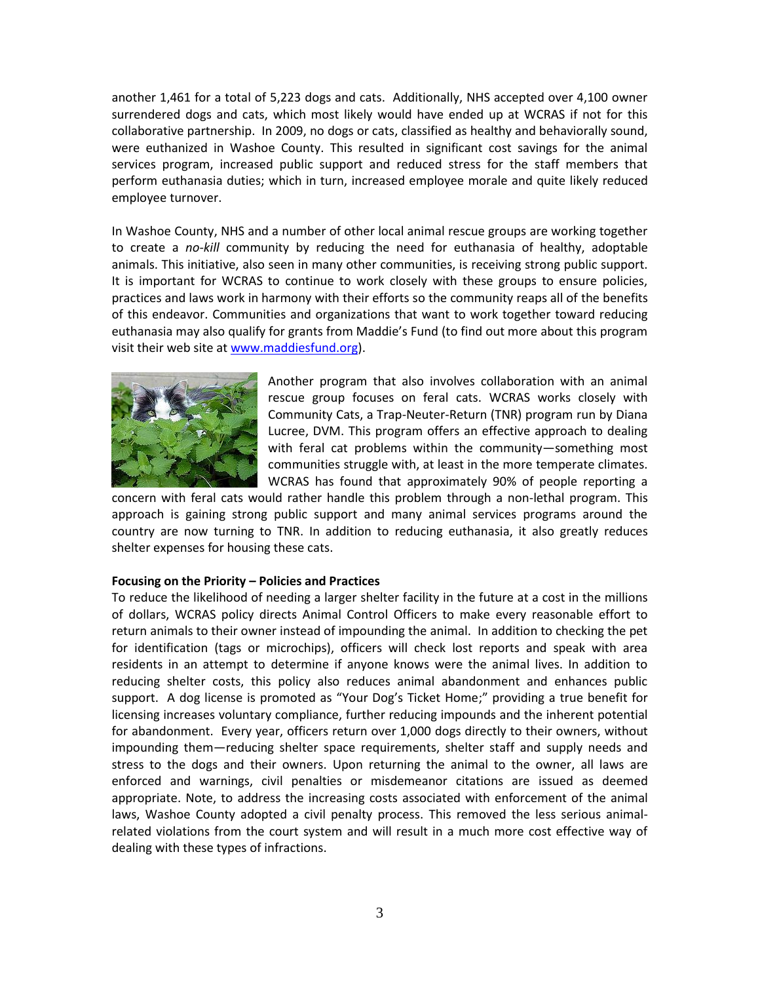another 1,461 for a total of 5,223 dogs and cats. Additionally, NHS accepted over 4,100 owner surrendered dogs and cats, which most likely would have ended up at WCRAS if not for this collaborative partnership. In 2009, no dogs or cats, classified as healthy and behaviorally sound, were euthanized in Washoe County. This resulted in significant cost savings for the animal services program, increased public support and reduced stress for the staff members that perform euthanasia duties; which in turn, increased employee morale and quite likely reduced employee turnover.

In Washoe County, NHS and a number of other local animal rescue groups are working together to create a *no-kill* community by reducing the need for euthanasia of healthy, adoptable animals. This initiative, also seen in many other communities, is receiving strong public support. It is important for WCRAS to continue to work closely with these groups to ensure policies, practices and laws work in harmony with their efforts so the community reaps all of the benefits of this endeavor. Communities and organizations that want to work together toward reducing euthanasia may also qualify for grants from Maddie's Fund (to find out more about this program visit their web site at [www.maddiesfund.org\)](http://www.maddiesfund.org/).



Another program that also involves collaboration with an animal rescue group focuses on feral cats. WCRAS works closely with Community Cats, a Trap-Neuter-Return (TNR) program run by Diana Lucree, DVM. This program offers an effective approach to dealing with feral cat problems within the community—something most communities struggle with, at least in the more temperate climates. WCRAS has found that approximately 90% of people reporting a

concern with feral cats would rather handle this problem through a non-lethal program. This approach is gaining strong public support and many animal services programs around the country are now turning to TNR. In addition to reducing euthanasia, it also greatly reduces shelter expenses for housing these cats.

## **Focusing on the Priority – Policies and Practices**

To reduce the likelihood of needing a larger shelter facility in the future at a cost in the millions of dollars, WCRAS policy directs Animal Control Officers to make every reasonable effort to return animals to their owner instead of impounding the animal. In addition to checking the pet for identification (tags or microchips), officers will check lost reports and speak with area residents in an attempt to determine if anyone knows were the animal lives. In addition to reducing shelter costs, this policy also reduces animal abandonment and enhances public support. A dog license is promoted as "Your Dog's Ticket Home;" providing a true benefit for licensing increases voluntary compliance, further reducing impounds and the inherent potential for abandonment. Every year, officers return over 1,000 dogs directly to their owners, without impounding them—reducing shelter space requirements, shelter staff and supply needs and stress to the dogs and their owners. Upon returning the animal to the owner, all laws are enforced and warnings, civil penalties or misdemeanor citations are issued as deemed appropriate. Note, to address the increasing costs associated with enforcement of the animal laws, Washoe County adopted a civil penalty process. This removed the less serious animalrelated violations from the court system and will result in a much more cost effective way of dealing with these types of infractions.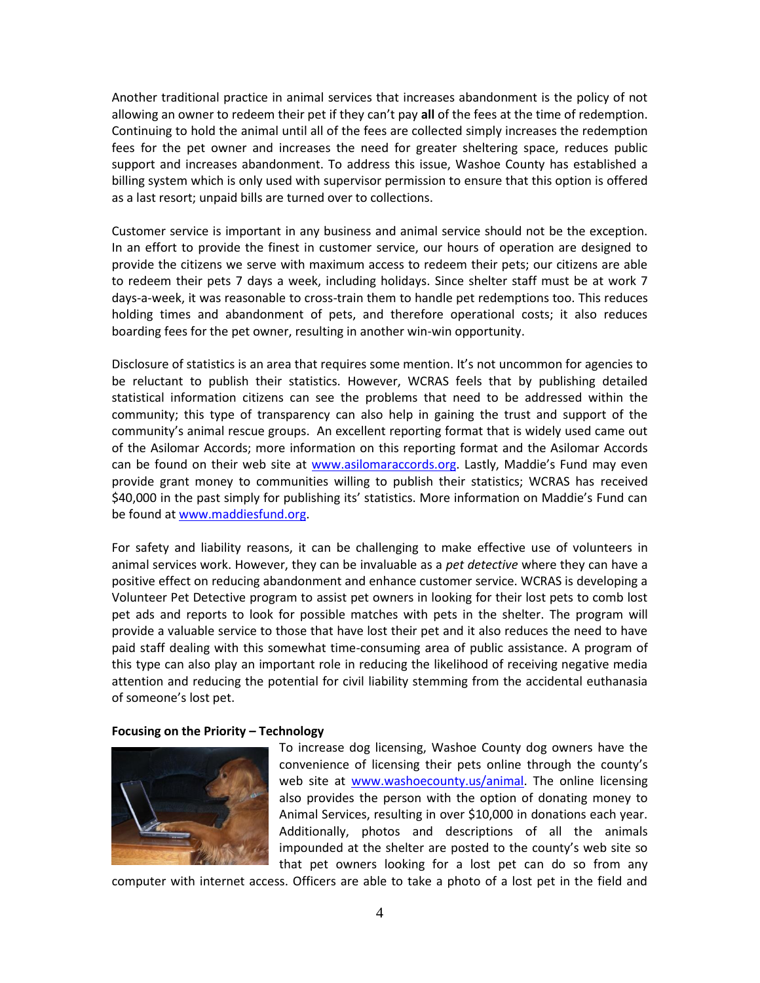Another traditional practice in animal services that increases abandonment is the policy of not allowing an owner to redeem their pet if they can't pay **all** of the fees at the time of redemption. Continuing to hold the animal until all of the fees are collected simply increases the redemption fees for the pet owner and increases the need for greater sheltering space, reduces public support and increases abandonment. To address this issue, Washoe County has established a billing system which is only used with supervisor permission to ensure that this option is offered as a last resort; unpaid bills are turned over to collections.

Customer service is important in any business and animal service should not be the exception. In an effort to provide the finest in customer service, our hours of operation are designed to provide the citizens we serve with maximum access to redeem their pets; our citizens are able to redeem their pets 7 days a week, including holidays. Since shelter staff must be at work 7 days-a-week, it was reasonable to cross-train them to handle pet redemptions too. This reduces holding times and abandonment of pets, and therefore operational costs; it also reduces boarding fees for the pet owner, resulting in another win-win opportunity.

Disclosure of statistics is an area that requires some mention. It's not uncommon for agencies to be reluctant to publish their statistics. However, WCRAS feels that by publishing detailed statistical information citizens can see the problems that need to be addressed within the community; this type of transparency can also help in gaining the trust and support of the community's animal rescue groups. An excellent reporting format that is widely used came out of the Asilomar Accords; more information on this reporting format and the Asilomar Accords can be found on their web site at [www.asilomaraccords.org.](http://www.asilomaraccords.org/) Lastly, Maddie's Fund may even provide grant money to communities willing to publish their statistics; WCRAS has received \$40,000 in the past simply for publishing its' statistics. More information on Maddie's Fund can be found at [www.maddiesfund.org.](http://www.maddiesfund.org/)

For safety and liability reasons, it can be challenging to make effective use of volunteers in animal services work. However, they can be invaluable as a *pet detective* where they can have a positive effect on reducing abandonment and enhance customer service. WCRAS is developing a Volunteer Pet Detective program to assist pet owners in looking for their lost pets to comb lost pet ads and reports to look for possible matches with pets in the shelter. The program will provide a valuable service to those that have lost their pet and it also reduces the need to have paid staff dealing with this somewhat time-consuming area of public assistance. A program of this type can also play an important role in reducing the likelihood of receiving negative media attention and reducing the potential for civil liability stemming from the accidental euthanasia of someone's lost pet.

## **Focusing on the Priority – Technology**



To increase dog licensing, Washoe County dog owners have the convenience of licensing their pets online through the county's web site at [www.washoecounty.us/animal.](http://www.washoecounty.us/animal) The online licensing also provides the person with the option of donating money to Animal Services, resulting in over \$10,000 in donations each year. Additionally, photos and descriptions of all the animals impounded at the shelter are posted to the county's web site so that pet owners looking for a lost pet can do so from any

computer with internet access. Officers are able to take a photo of a lost pet in the field and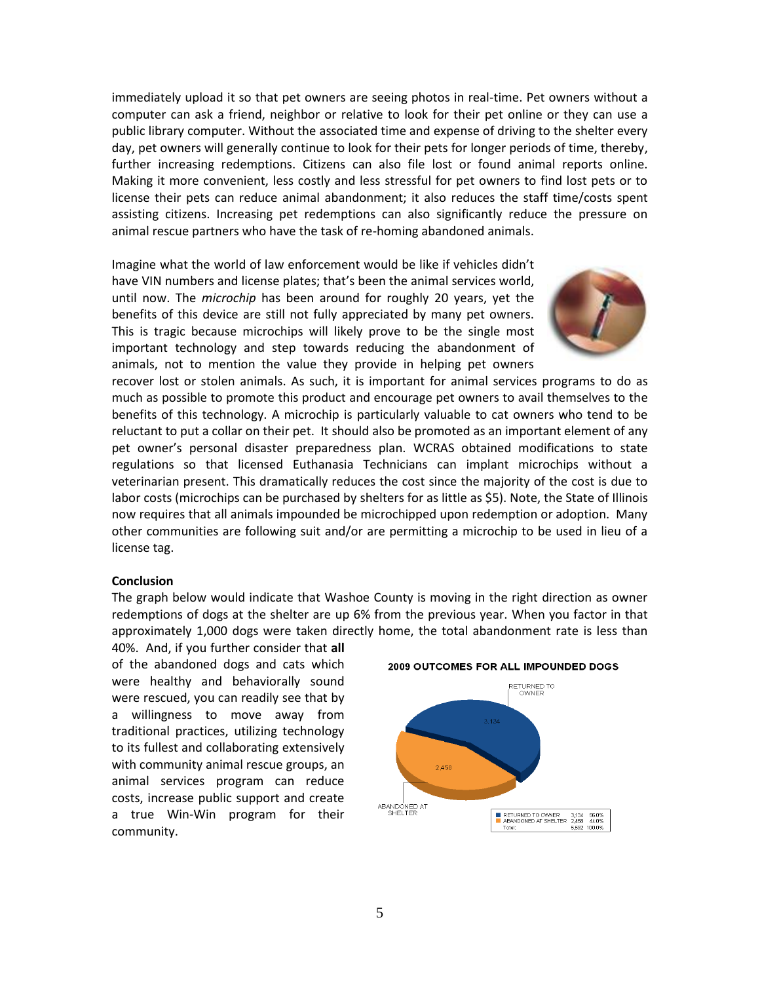immediately upload it so that pet owners are seeing photos in real-time. Pet owners without a computer can ask a friend, neighbor or relative to look for their pet online or they can use a public library computer. Without the associated time and expense of driving to the shelter every day, pet owners will generally continue to look for their pets for longer periods of time, thereby, further increasing redemptions. Citizens can also file lost or found animal reports online. Making it more convenient, less costly and less stressful for pet owners to find lost pets or to license their pets can reduce animal abandonment; it also reduces the staff time/costs spent assisting citizens. Increasing pet redemptions can also significantly reduce the pressure on animal rescue partners who have the task of re-homing abandoned animals.

Imagine what the world of law enforcement would be like if vehicles didn't have VIN numbers and license plates; that's been the animal services world, until now. The *microchip* has been around for roughly 20 years, yet the benefits of this device are still not fully appreciated by many pet owners. This is tragic because microchips will likely prove to be the single most important technology and step towards reducing the abandonment of animals, not to mention the value they provide in helping pet owners



recover lost or stolen animals. As such, it is important for animal services programs to do as much as possible to promote this product and encourage pet owners to avail themselves to the benefits of this technology. A microchip is particularly valuable to cat owners who tend to be reluctant to put a collar on their pet. It should also be promoted as an important element of any pet owner's personal disaster preparedness plan. WCRAS obtained modifications to state regulations so that licensed Euthanasia Technicians can implant microchips without a veterinarian present. This dramatically reduces the cost since the majority of the cost is due to labor costs (microchips can be purchased by shelters for as little as \$5). Note, the State of Illinois now requires that all animals impounded be microchipped upon redemption or adoption. Many other communities are following suit and/or are permitting a microchip to be used in lieu of a license tag.

## **Conclusion**

The graph below would indicate that Washoe County is moving in the right direction as owner redemptions of dogs at the shelter are up 6% from the previous year. When you factor in that approximately 1,000 dogs were taken directly home, the total abandonment rate is less than

40%. And, if you further consider that **all** of the abandoned dogs and cats which were healthy and behaviorally sound were rescued, you can readily see that by a willingness to move away from traditional practices, utilizing technology to its fullest and collaborating extensively with community animal rescue groups, an animal services program can reduce costs, increase public support and create a true Win-Win program for their community.